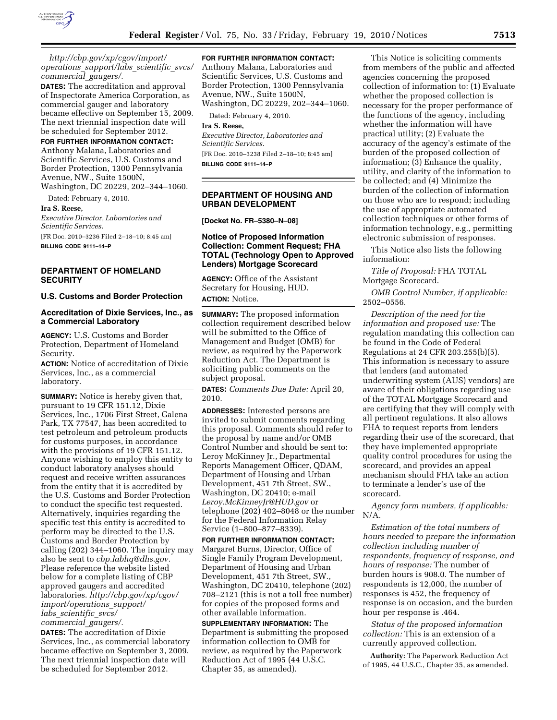

*http://cbp.gov/xp/cgov/import/ operations*\_*support/labs*\_*scientific*\_*svcs/ commercial*\_*gaugers/.* 

**DATES:** The accreditation and approval of Inspectorate America Corporation, as commercial gauger and laboratory became effective on September 15, 2009. The next triennial inspection date will be scheduled for September 2012.

### **FOR FURTHER INFORMATION CONTACT:**

Anthony Malana, Laboratories and Scientific Services, U.S. Customs and Border Protection, 1300 Pennsylvania Avenue, NW., Suite 1500N, Washington, DC 20229, 202–344–1060.

Dated: February 4, 2010.

## **Ira S. Reese,**

*Executive Director, Laboratories and Scientific Services.*  [FR Doc. 2010–3236 Filed 2–18–10; 8:45 am]

**BILLING CODE 9111–14–P** 

# **DEPARTMENT OF HOMELAND SECURITY**

## **U.S. Customs and Border Protection**

## **Accreditation of Dixie Services, Inc., as a Commercial Laboratory**

**AGENCY:** U.S. Customs and Border Protection, Department of Homeland Security.

**ACTION:** Notice of accreditation of Dixie Services, Inc., as a commercial laboratory.

**SUMMARY:** Notice is hereby given that, pursuant to 19 CFR 151.12, Dixie Services, Inc., 1706 First Street, Galena Park, TX 77547, has been accredited to test petroleum and petroleum products for customs purposes, in accordance with the provisions of 19 CFR 151.12. Anyone wishing to employ this entity to conduct laboratory analyses should request and receive written assurances from the entity that it is accredited by the U.S. Customs and Border Protection to conduct the specific test requested. Alternatively, inquiries regarding the specific test this entity is accredited to perform may be directed to the U.S. Customs and Border Protection by calling (202) 344–1060. The inquiry may also be sent to *cbp.labhq@dhs.gov.*  Please reference the website listed below for a complete listing of CBP approved gaugers and accredited laboratories. *http://cbp.gov/xp/cgov/ import/operations*\_*support/ labs*\_*scientific*\_*svcs/ commercial*\_*gaugers/.* 

**DATES:** The accreditation of Dixie Services, Inc., as commercial laboratory became effective on September 3, 2009. The next triennial inspection date will be scheduled for September 2012.

## **FOR FURTHER INFORMATION CONTACT:**

Anthony Malana, Laboratories and Scientific Services, U.S. Customs and Border Protection, 1300 Pennsylvania Avenue, NW., Suite 1500N, Washington, DC 20229, 202–344–1060.

Dated: February 4, 2010.

### **Ira S. Reese,**

*Executive Director, Laboratories and Scientific Services.*  [FR Doc. 2010–3238 Filed 2–18–10; 8:45 am] **BILLING CODE 9111–14–P** 

## **DEPARTMENT OF HOUSING AND URBAN DEVELOPMENT**

**[Docket No. FR–5380–N–08]** 

## **Notice of Proposed Information Collection: Comment Request; FHA TOTAL (Technology Open to Approved Lenders) Mortgage Scorecard**

**AGENCY:** Office of the Assistant Secretary for Housing, HUD. **ACTION:** Notice.

**SUMMARY:** The proposed information collection requirement described below will be submitted to the Office of Management and Budget (OMB) for review, as required by the Paperwork Reduction Act. The Department is soliciting public comments on the subject proposal.

**DATES:** *Comments Due Date:* April 20, 2010.

**ADDRESSES:** Interested persons are invited to submit comments regarding this proposal. Comments should refer to the proposal by name and/or OMB Control Number and should be sent to: Leroy McKinney Jr., Departmental Reports Management Officer, QDAM, Department of Housing and Urban Development, 451 7th Street, SW., Washington, DC 20410; e-mail *Leroy.McKinneyJr@HUD.gov* or telephone (202) 402–8048 or the number for the Federal Information Relay Service (1–800–877–8339).

**FOR FURTHER INFORMATION CONTACT:**  Margaret Burns, Director, Office of Single Family Program Development, Department of Housing and Urban Development, 451 7th Street, SW., Washington, DC 20410, telephone (202) 708–2121 (this is not a toll free number) for copies of the proposed forms and other available information.

**SUPPLEMENTARY INFORMATION:** The Department is submitting the proposed information collection to OMB for review, as required by the Paperwork Reduction Act of 1995 (44 U.S.C. Chapter 35, as amended).

This Notice is soliciting comments from members of the public and affected agencies concerning the proposed collection of information to: (1) Evaluate whether the proposed collection is necessary for the proper performance of the functions of the agency, including whether the information will have practical utility; (2) Evaluate the accuracy of the agency's estimate of the burden of the proposed collection of information; (3) Enhance the quality, utility, and clarity of the information to be collected; and (4) Minimize the burden of the collection of information on those who are to respond; including the use of appropriate automated collection techniques or other forms of information technology, e.g., permitting electronic submission of responses.

This Notice also lists the following information:

*Title of Proposal:* FHA TOTAL Mortgage Scorecard.

*OMB Control Number, if applicable:*  2502–0556.

*Description of the need for the information and proposed use:* The regulation mandating this collection can be found in the Code of Federal Regulations at 24 CFR 203.255(b)(5). This information is necessary to assure that lenders (and automated underwriting system (AUS) vendors) are aware of their obligations regarding use of the TOTAL Mortgage Scorecard and are certifying that they will comply with all pertinent regulations. It also allows FHA to request reports from lenders regarding their use of the scorecard, that they have implemented appropriate quality control procedures for using the scorecard, and provides an appeal mechanism should FHA take an action to terminate a lender's use of the scorecard.

*Agency form numbers, if applicable:*  N/A.

*Estimation of the total numbers of hours needed to prepare the information collection including number of respondents, frequency of response, and hours of response:* The number of burden hours is 908.0. The number of respondents is 12,000, the number of responses is 452, the frequency of response is on occasion, and the burden hour per response is .464.

*Status of the proposed information collection:* This is an extension of a currently approved collection.

**Authority:** The Paperwork Reduction Act of 1995, 44 U.S.C., Chapter 35, as amended.